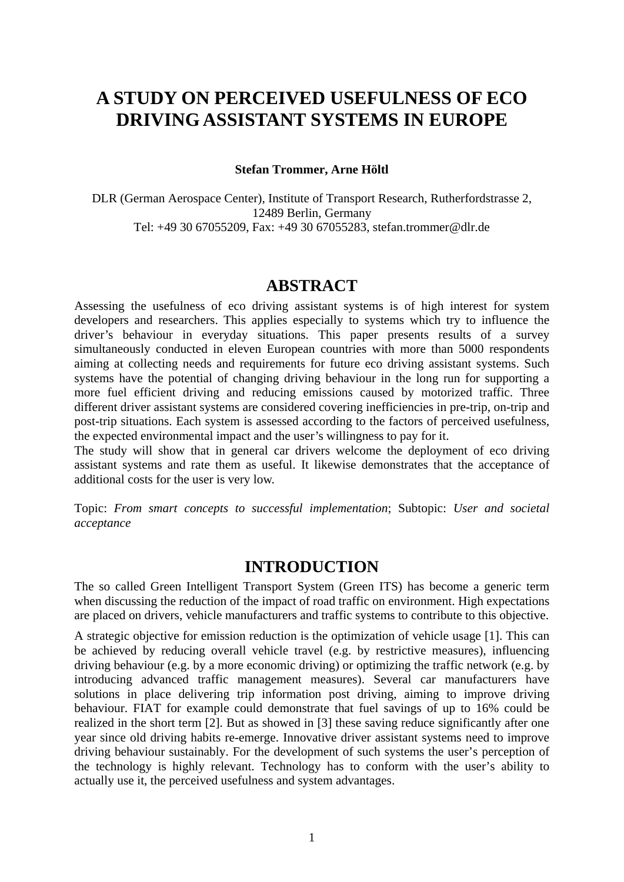# **A STUDY ON PERCEIVED USEFULNESS OF ECO DRIVING ASSISTANT SYSTEMS IN EUROPE**

#### **Stefan Trommer, Arne Höltl**

DLR (German Aerospace Center), Institute of Transport Research, Rutherfordstrasse 2, 12489 Berlin, Germany Tel: +49 30 67055209, Fax: +49 30 67055283, stefan.trommer@dlr.de

### **ABSTRACT**

Assessing the usefulness of eco driving assistant systems is of high interest for system developers and researchers. This applies especially to systems which try to influence the driver's behaviour in everyday situations. This paper presents results of a survey simultaneously conducted in eleven European countries with more than 5000 respondents aiming at collecting needs and requirements for future eco driving assistant systems. Such systems have the potential of changing driving behaviour in the long run for supporting a more fuel efficient driving and reducing emissions caused by motorized traffic. Three different driver assistant systems are considered covering inefficiencies in pre-trip, on-trip and post-trip situations. Each system is assessed according to the factors of perceived usefulness, the expected environmental impact and the user's willingness to pay for it.

The study will show that in general car drivers welcome the deployment of eco driving assistant systems and rate them as useful. It likewise demonstrates that the acceptance of additional costs for the user is very low.

Topic: *From smart concepts to successful implementation*; Subtopic: *User and societal acceptance* 

### **INTRODUCTION**

The so called Green Intelligent Transport System (Green ITS) has become a generic term when discussing the reduction of the impact of road traffic on environment. High expectations are placed on drivers, vehicle manufacturers and traffic systems to contribute to this objective.

A strategic objective for emission reduction is the optimization of vehicle usage [1]. This can be achieved by reducing overall vehicle travel (e.g. by restrictive measures), influencing driving behaviour (e.g. by a more economic driving) or optimizing the traffic network (e.g. by introducing advanced traffic management measures). Several car manufacturers have solutions in place delivering trip information post driving, aiming to improve driving behaviour. FIAT for example could demonstrate that fuel savings of up to 16% could be realized in the short term [2]. But as showed in [3] these saving reduce significantly after one year since old driving habits re-emerge. Innovative driver assistant systems need to improve driving behaviour sustainably. For the development of such systems the user's perception of the technology is highly relevant. Technology has to conform with the user's ability to actually use it, the perceived usefulness and system advantages.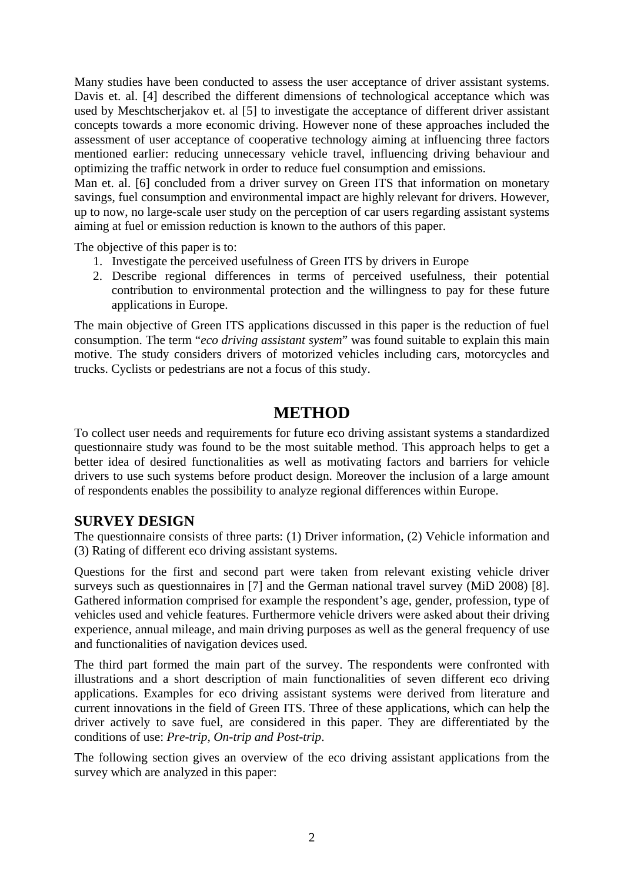Many studies have been conducted to assess the user acceptance of driver assistant systems. Davis et. al. [4] described the different dimensions of technological acceptance which was used by Meschtscherjakov et. al [5] to investigate the acceptance of different driver assistant concepts towards a more economic driving. However none of these approaches included the assessment of user acceptance of cooperative technology aiming at influencing three factors mentioned earlier: reducing unnecessary vehicle travel, influencing driving behaviour and optimizing the traffic network in order to reduce fuel consumption and emissions.

Man et. al. [6] concluded from a driver survey on Green ITS that information on monetary savings, fuel consumption and environmental impact are highly relevant for drivers. However, up to now, no large-scale user study on the perception of car users regarding assistant systems aiming at fuel or emission reduction is known to the authors of this paper.

The objective of this paper is to:

- 1. Investigate the perceived usefulness of Green ITS by drivers in Europe
- 2. Describe regional differences in terms of perceived usefulness, their potential contribution to environmental protection and the willingness to pay for these future applications in Europe.

The main objective of Green ITS applications discussed in this paper is the reduction of fuel consumption. The term "*eco driving assistant system*" was found suitable to explain this main motive. The study considers drivers of motorized vehicles including cars, motorcycles and trucks. Cyclists or pedestrians are not a focus of this study.

## **METHOD**

To collect user needs and requirements for future eco driving assistant systems a standardized questionnaire study was found to be the most suitable method. This approach helps to get a better idea of desired functionalities as well as motivating factors and barriers for vehicle drivers to use such systems before product design. Moreover the inclusion of a large amount of respondents enables the possibility to analyze regional differences within Europe.

### **SURVEY DESIGN**

The questionnaire consists of three parts: (1) Driver information, (2) Vehicle information and (3) Rating of different eco driving assistant systems.

Questions for the first and second part were taken from relevant existing vehicle driver surveys such as questionnaires in [7] and the German national travel survey (MiD 2008) [8]. Gathered information comprised for example the respondent's age, gender, profession, type of vehicles used and vehicle features. Furthermore vehicle drivers were asked about their driving experience, annual mileage, and main driving purposes as well as the general frequency of use and functionalities of navigation devices used.

The third part formed the main part of the survey. The respondents were confronted with illustrations and a short description of main functionalities of seven different eco driving applications. Examples for eco driving assistant systems were derived from literature and current innovations in the field of Green ITS. Three of these applications, which can help the driver actively to save fuel, are considered in this paper. They are differentiated by the conditions of use: *Pre-trip, On-trip and Post-trip*.

The following section gives an overview of the eco driving assistant applications from the survey which are analyzed in this paper: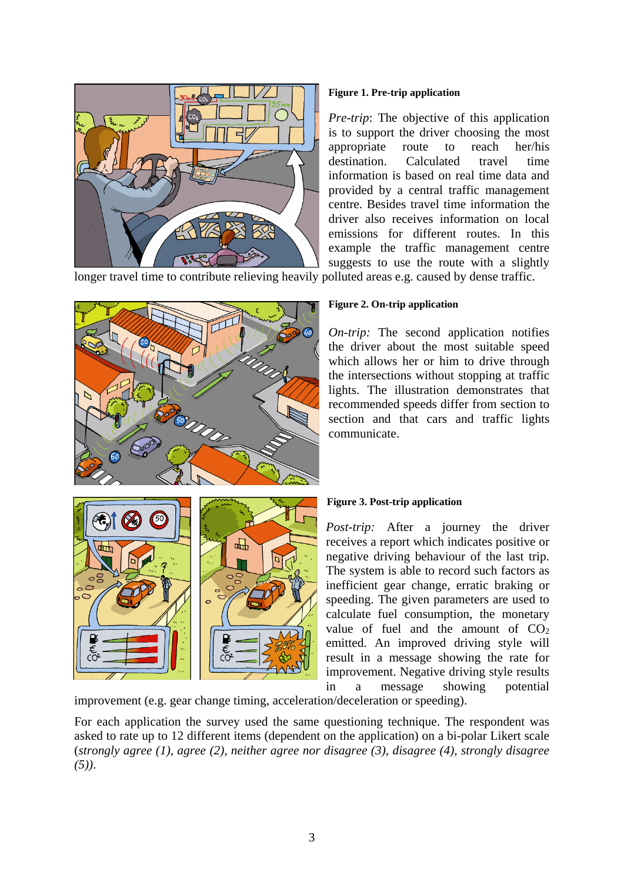

#### **Figure 1. Pre-trip application**

*Pre-trip*: The objective of this application is to support the driver choosing the most appropriate route to reach her/his destination. Calculated travel time information is based on real time data and provided by a central traffic management centre. Besides travel time information the driver also receives information on local emissions for different routes. In this example the traffic management centre suggests to use the route with a slightly

longer travel time to contribute relieving heavily polluted areas e.g. caused by dense traffic.



#### **Figure 2. On-trip application**

*On-trip:* The second application notifies the driver about the most suitable speed which allows her or him to drive through the intersections without stopping at traffic lights. The illustration demonstrates that recommended speeds differ from section to section and that cars and traffic lights communicate.



#### **Figure 3. Post-trip application**

*Post-trip:* After a journey the driver receives a report which indicates positive or negative driving behaviour of the last trip. The system is able to record such factors as inefficient gear change, erratic braking or speeding. The given parameters are used to calculate fuel consumption, the monetary value of fuel and the amount of  $CO<sub>2</sub>$ emitted. An improved driving style will result in a message showing the rate for improvement. Negative driving style results in a message showing potential

improvement (e.g. gear change timing, acceleration/deceleration or speeding).

For each application the survey used the same questioning technique. The respondent was asked to rate up to 12 different items (dependent on the application) on a bi-polar Likert scale (*strongly agree (1), agree (2), neither agree nor disagree (3), disagree (4), strongly disagree (5))*.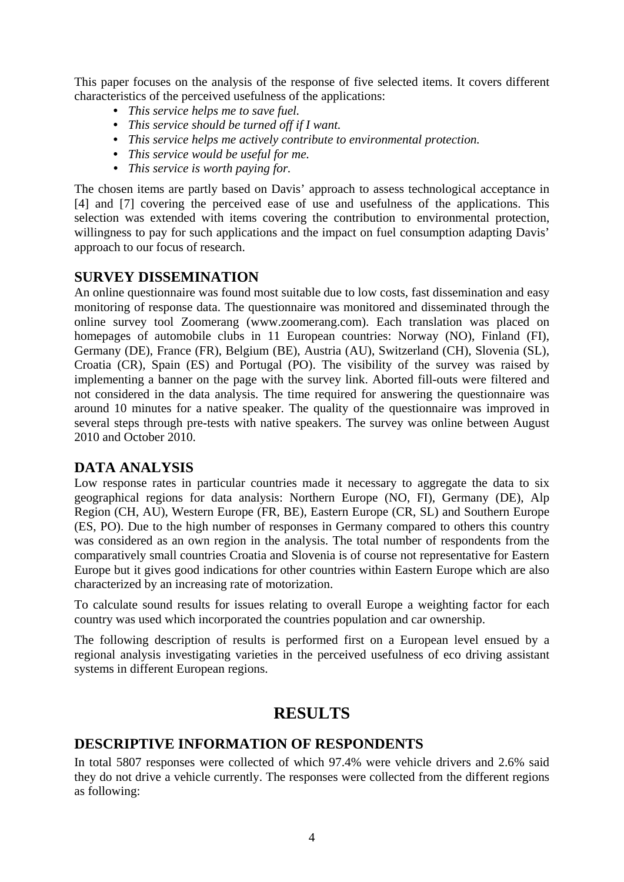This paper focuses on the analysis of the response of five selected items. It covers different characteristics of the perceived usefulness of the applications:

- *This service helps me to save fuel.*
- *This service should be turned off if I want.*
- *This service helps me actively contribute to environmental protection.*
- *This service would be useful for me.*
- *This service is worth paying for.*

The chosen items are partly based on Davis' approach to assess technological acceptance in [4] and [7] covering the perceived ease of use and usefulness of the applications. This selection was extended with items covering the contribution to environmental protection, willingness to pay for such applications and the impact on fuel consumption adapting Davis' approach to our focus of research.

#### **SURVEY DISSEMINATION**

An online questionnaire was found most suitable due to low costs, fast dissemination and easy monitoring of response data. The questionnaire was monitored and disseminated through the online survey tool Zoomerang (www.zoomerang.com). Each translation was placed on homepages of automobile clubs in 11 European countries: Norway (NO), Finland (FI), Germany (DE), France (FR), Belgium (BE), Austria (AU), Switzerland (CH), Slovenia (SL), Croatia (CR), Spain (ES) and Portugal (PO). The visibility of the survey was raised by implementing a banner on the page with the survey link. Aborted fill-outs were filtered and not considered in the data analysis. The time required for answering the questionnaire was around 10 minutes for a native speaker. The quality of the questionnaire was improved in several steps through pre-tests with native speakers. The survey was online between August 2010 and October 2010.

### **DATA ANALYSIS**

Low response rates in particular countries made it necessary to aggregate the data to six geographical regions for data analysis: Northern Europe (NO, FI), Germany (DE), Alp Region (CH, AU), Western Europe (FR, BE), Eastern Europe (CR, SL) and Southern Europe (ES, PO). Due to the high number of responses in Germany compared to others this country was considered as an own region in the analysis. The total number of respondents from the comparatively small countries Croatia and Slovenia is of course not representative for Eastern Europe but it gives good indications for other countries within Eastern Europe which are also characterized by an increasing rate of motorization.

To calculate sound results for issues relating to overall Europe a weighting factor for each country was used which incorporated the countries population and car ownership.

The following description of results is performed first on a European level ensued by a regional analysis investigating varieties in the perceived usefulness of eco driving assistant systems in different European regions.

## **RESULTS**

### **DESCRIPTIVE INFORMATION OF RESPONDENTS**

In total 5807 responses were collected of which 97.4% were vehicle drivers and 2.6% said they do not drive a vehicle currently. The responses were collected from the different regions as following: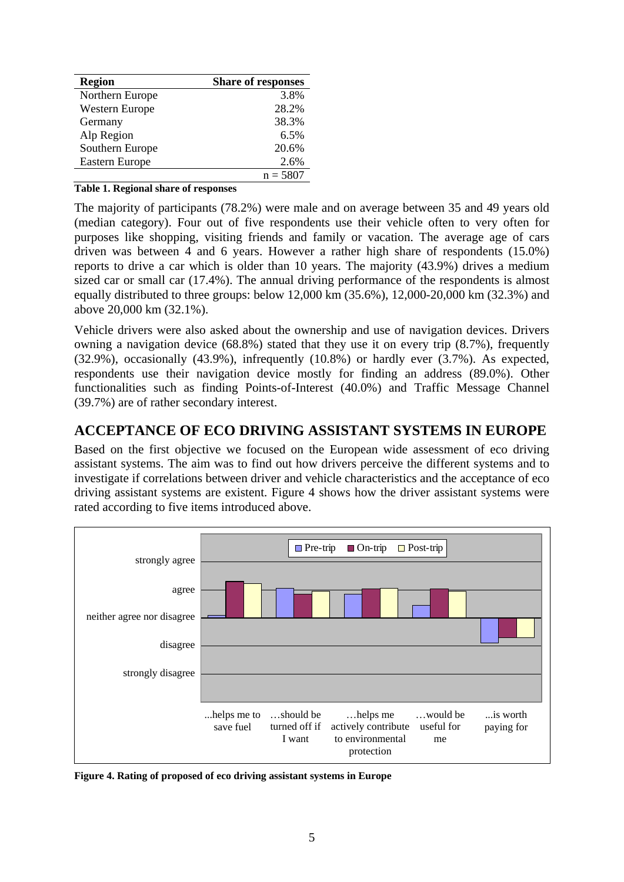| <b>Region</b>         | <b>Share of responses</b> |  |  |
|-----------------------|---------------------------|--|--|
| Northern Europe       | 3.8%                      |  |  |
| <b>Western Europe</b> | 28.2%                     |  |  |
| Germany               | 38.3%                     |  |  |
| Alp Region            | 6.5%                      |  |  |
| Southern Europe       | 20.6%                     |  |  |
| <b>Eastern Europe</b> | 2.6%                      |  |  |
|                       | $n = 5807$                |  |  |

#### **Table 1. Regional share of responses**

The majority of participants (78.2%) were male and on average between 35 and 49 years old (median category). Four out of five respondents use their vehicle often to very often for purposes like shopping, visiting friends and family or vacation. The average age of cars driven was between 4 and 6 years. However a rather high share of respondents (15.0%) reports to drive a car which is older than 10 years. The majority (43.9%) drives a medium sized car or small car (17.4%). The annual driving performance of the respondents is almost equally distributed to three groups: below 12,000 km (35.6%), 12,000-20,000 km (32.3%) and above 20,000 km (32.1%).

Vehicle drivers were also asked about the ownership and use of navigation devices. Drivers owning a navigation device (68.8%) stated that they use it on every trip (8.7%), frequently (32.9%), occasionally (43.9%), infrequently (10.8%) or hardly ever (3.7%). As expected, respondents use their navigation device mostly for finding an address (89.0%). Other functionalities such as finding Points-of-Interest (40.0%) and Traffic Message Channel (39.7%) are of rather secondary interest.

### **ACCEPTANCE OF ECO DRIVING ASSISTANT SYSTEMS IN EUROPE**

Based on the first objective we focused on the European wide assessment of eco driving assistant systems. The aim was to find out how drivers perceive the different systems and to investigate if correlations between driver and vehicle characteristics and the acceptance of eco driving assistant systems are existent. Figure 4 shows how the driver assistant systems were rated according to five items introduced above.



**Figure 4. Rating of proposed of eco driving assistant systems in Europe**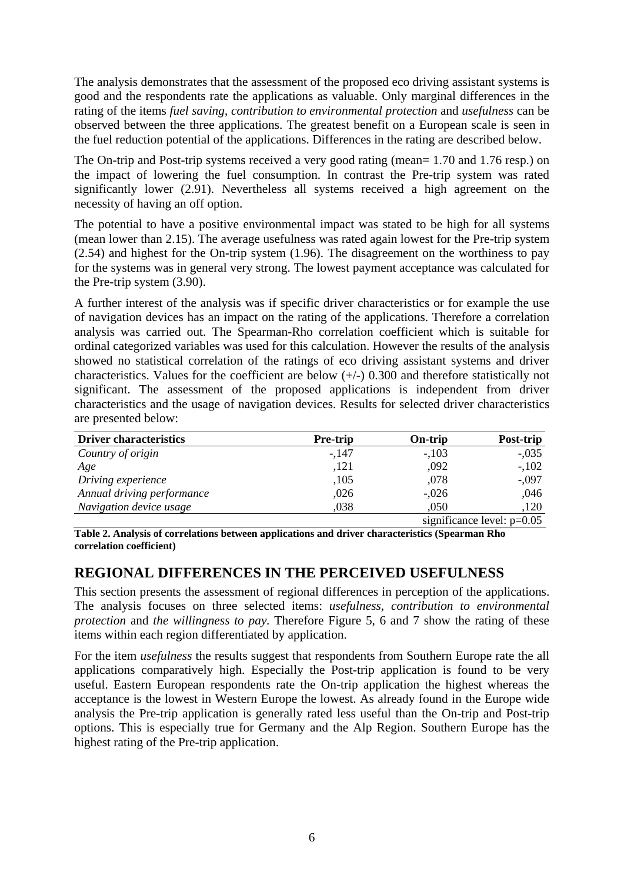The analysis demonstrates that the assessment of the proposed eco driving assistant systems is good and the respondents rate the applications as valuable. Only marginal differences in the rating of the items *fuel saving*, *contribution to environmental protection* and *usefulness* can be observed between the three applications. The greatest benefit on a European scale is seen in the fuel reduction potential of the applications. Differences in the rating are described below.

The On-trip and Post-trip systems received a very good rating (mean= 1.70 and 1.76 resp.) on the impact of lowering the fuel consumption. In contrast the Pre-trip system was rated significantly lower (2.91). Nevertheless all systems received a high agreement on the necessity of having an off option.

The potential to have a positive environmental impact was stated to be high for all systems (mean lower than 2.15). The average usefulness was rated again lowest for the Pre-trip system (2.54) and highest for the On-trip system (1.96). The disagreement on the worthiness to pay for the systems was in general very strong. The lowest payment acceptance was calculated for the Pre-trip system (3.90).

A further interest of the analysis was if specific driver characteristics or for example the use of navigation devices has an impact on the rating of the applications. Therefore a correlation analysis was carried out. The Spearman-Rho correlation coefficient which is suitable for ordinal categorized variables was used for this calculation. However the results of the analysis showed no statistical correlation of the ratings of eco driving assistant systems and driver characteristics. Values for the coefficient are below  $(+/-)$  0.300 and therefore statistically not significant. The assessment of the proposed applications is independent from driver characteristics and the usage of navigation devices. Results for selected driver characteristics are presented below:

| <b>Driver characteristics</b> | <b>Pre-trip</b> | On-trip                      | Post-trip |  |
|-------------------------------|-----------------|------------------------------|-----------|--|
| Country of origin             | $-147$          | $-.103$                      | $-.035$   |  |
| Age                           | ,121            | ,092                         | $-.102$   |  |
| Driving experience            | ,105            | ,078                         | $-.097$   |  |
| Annual driving performance    | ,026            | $-.026$                      | ,046      |  |
| Navigation device usage       | .038            | ,050                         | ,120      |  |
|                               |                 | significance level: $p=0.05$ |           |  |

**Table 2. Analysis of correlations between applications and driver characteristics (Spearman Rho correlation coefficient)** 

### **REGIONAL DIFFERENCES IN THE PERCEIVED USEFULNESS**

This section presents the assessment of regional differences in perception of the applications. The analysis focuses on three selected items: *usefulness, contribution to environmental protection* and *the willingness to pay*. Therefore [Figure 5](#page-6-0), 6 and 7 show the rating of these items within each region differentiated by application.

For the item *usefulness* the results suggest that respondents from Southern Europe rate the all applications comparatively high. Especially the Post-trip application is found to be very useful. Eastern European respondents rate the On-trip application the highest whereas the acceptance is the lowest in Western Europe the lowest. As already found in the Europe wide analysis the Pre-trip application is generally rated less useful than the On-trip and Post-trip options. This is especially true for Germany and the Alp Region. Southern Europe has the highest rating of the Pre-trip application.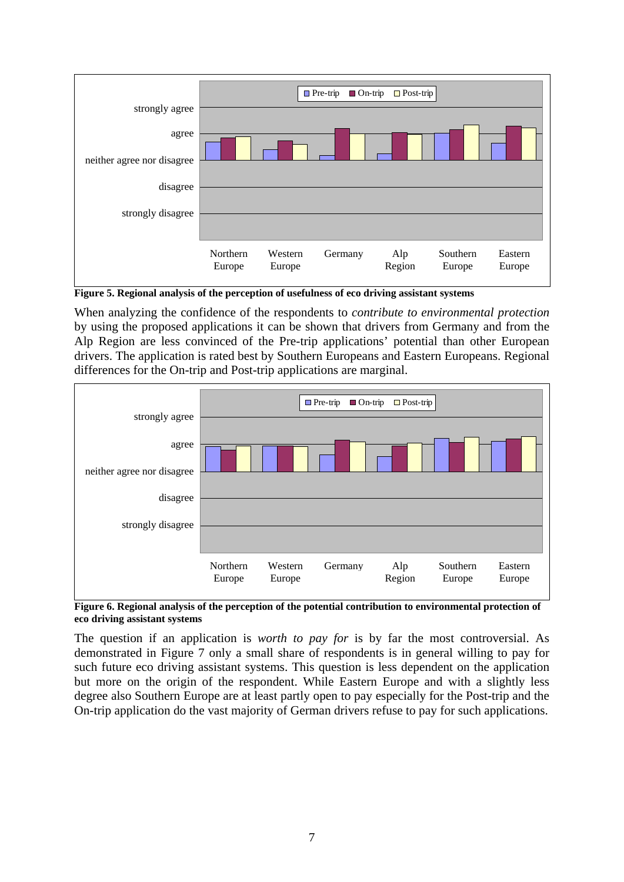

<span id="page-6-0"></span>**Figure 5. Regional analysis of the perception of usefulness of eco driving assistant systems** 

When analyzing the confidence of the respondents to *contribute to environmental protection* by using the proposed applications it can be shown that drivers from Germany and from the Alp Region are less convinced of the Pre-trip applications' potential than other European drivers. The application is rated best by Southern Europeans and Eastern Europeans. Regional differences for the On-trip and Post-trip applications are marginal.



**Figure 6. Regional analysis of the perception of the potential contribution to environmental protection of eco driving assistant systems** 

The question if an application is *worth to pay for* is by far the most controversial. As demonstrated in Figure 7 only a small share of respondents is in general willing to pay for such future eco driving assistant systems. This question is less dependent on the application but more on the origin of the respondent. While Eastern Europe and with a slightly less degree also Southern Europe are at least partly open to pay especially for the Post-trip and the On-trip application do the vast majority of German drivers refuse to pay for such applications.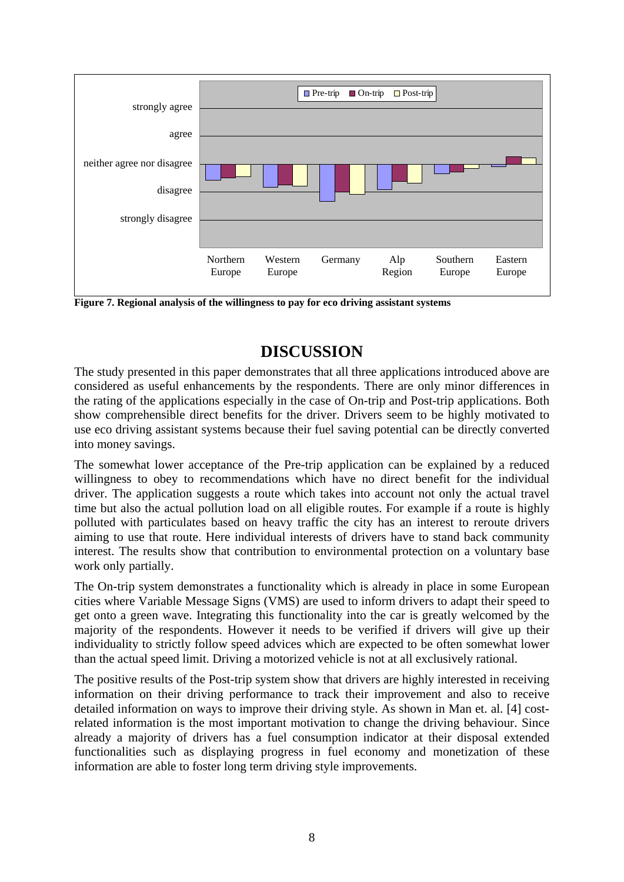

**Figure 7. Regional analysis of the willingness to pay for eco driving assistant systems** 

# **DISCUSSION**

The study presented in this paper demonstrates that all three applications introduced above are considered as useful enhancements by the respondents. There are only minor differences in the rating of the applications especially in the case of On-trip and Post-trip applications. Both show comprehensible direct benefits for the driver. Drivers seem to be highly motivated to use eco driving assistant systems because their fuel saving potential can be directly converted into money savings.

The somewhat lower acceptance of the Pre-trip application can be explained by a reduced willingness to obey to recommendations which have no direct benefit for the individual driver. The application suggests a route which takes into account not only the actual travel time but also the actual pollution load on all eligible routes. For example if a route is highly polluted with particulates based on heavy traffic the city has an interest to reroute drivers aiming to use that route. Here individual interests of drivers have to stand back community interest. The results show that contribution to environmental protection on a voluntary base work only partially.

The On-trip system demonstrates a functionality which is already in place in some European cities where Variable Message Signs (VMS) are used to inform drivers to adapt their speed to get onto a green wave. Integrating this functionality into the car is greatly welcomed by the majority of the respondents. However it needs to be verified if drivers will give up their individuality to strictly follow speed advices which are expected to be often somewhat lower than the actual speed limit. Driving a motorized vehicle is not at all exclusively rational.

The positive results of the Post-trip system show that drivers are highly interested in receiving information on their driving performance to track their improvement and also to receive detailed information on ways to improve their driving style. As shown in Man et. al. [4] costrelated information is the most important motivation to change the driving behaviour. Since already a majority of drivers has a fuel consumption indicator at their disposal extended functionalities such as displaying progress in fuel economy and monetization of these information are able to foster long term driving style improvements.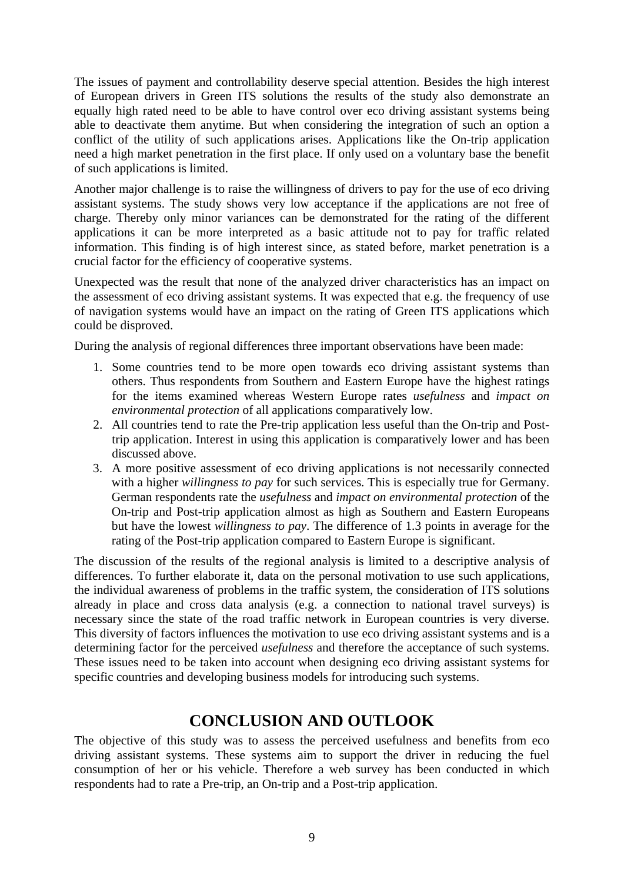The issues of payment and controllability deserve special attention. Besides the high interest of European drivers in Green ITS solutions the results of the study also demonstrate an equally high rated need to be able to have control over eco driving assistant systems being able to deactivate them anytime. But when considering the integration of such an option a conflict of the utility of such applications arises. Applications like the On-trip application need a high market penetration in the first place. If only used on a voluntary base the benefit of such applications is limited.

Another major challenge is to raise the willingness of drivers to pay for the use of eco driving assistant systems. The study shows very low acceptance if the applications are not free of charge. Thereby only minor variances can be demonstrated for the rating of the different applications it can be more interpreted as a basic attitude not to pay for traffic related information. This finding is of high interest since, as stated before, market penetration is a crucial factor for the efficiency of cooperative systems.

Unexpected was the result that none of the analyzed driver characteristics has an impact on the assessment of eco driving assistant systems. It was expected that e.g. the frequency of use of navigation systems would have an impact on the rating of Green ITS applications which could be disproved.

During the analysis of regional differences three important observations have been made:

- 1. Some countries tend to be more open towards eco driving assistant systems than others. Thus respondents from Southern and Eastern Europe have the highest ratings for the items examined whereas Western Europe rates *usefulness* and *impact on environmental protection* of all applications comparatively low.
- 2. All countries tend to rate the Pre-trip application less useful than the On-trip and Posttrip application. Interest in using this application is comparatively lower and has been discussed above.
- 3. A more positive assessment of eco driving applications is not necessarily connected with a higher *willingness to pay* for such services. This is especially true for Germany. German respondents rate the *usefulness* and *impact on environmental protection* of the On-trip and Post-trip application almost as high as Southern and Eastern Europeans but have the lowest *willingness to pay*. The difference of 1.3 points in average for the rating of the Post-trip application compared to Eastern Europe is significant.

The discussion of the results of the regional analysis is limited to a descriptive analysis of differences. To further elaborate it, data on the personal motivation to use such applications, the individual awareness of problems in the traffic system, the consideration of ITS solutions already in place and cross data analysis (e.g. a connection to national travel surveys) is necessary since the state of the road traffic network in European countries is very diverse. This diversity of factors influences the motivation to use eco driving assistant systems and is a determining factor for the perceived *usefulness* and therefore the acceptance of such systems. These issues need to be taken into account when designing eco driving assistant systems for specific countries and developing business models for introducing such systems.

## **CONCLUSION AND OUTLOOK**

The objective of this study was to assess the perceived usefulness and benefits from eco driving assistant systems. These systems aim to support the driver in reducing the fuel consumption of her or his vehicle. Therefore a web survey has been conducted in which respondents had to rate a Pre-trip, an On-trip and a Post-trip application.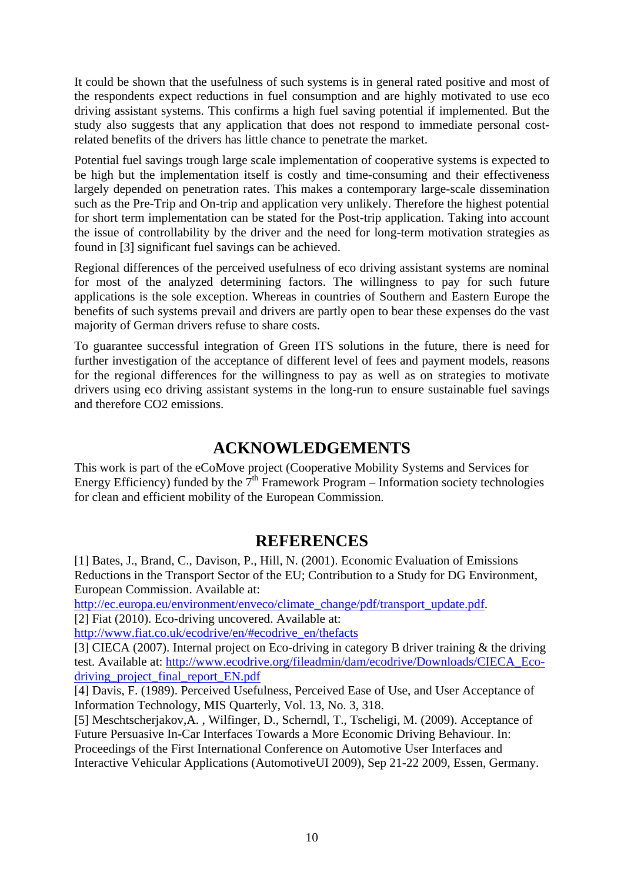It could be shown that the usefulness of such systems is in general rated positive and most of the respondents expect reductions in fuel consumption and are highly motivated to use eco driving assistant systems. This confirms a high fuel saving potential if implemented. But the study also suggests that any application that does not respond to immediate personal costrelated benefits of the drivers has little chance to penetrate the market.

Potential fuel savings trough large scale implementation of cooperative systems is expected to be high but the implementation itself is costly and time-consuming and their effectiveness largely depended on penetration rates. This makes a contemporary large-scale dissemination such as the Pre-Trip and On-trip and application very unlikely. Therefore the highest potential for short term implementation can be stated for the Post-trip application. Taking into account the issue of controllability by the driver and the need for long-term motivation strategies as found in [3] significant fuel savings can be achieved.

Regional differences of the perceived usefulness of eco driving assistant systems are nominal for most of the analyzed determining factors. The willingness to pay for such future applications is the sole exception. Whereas in countries of Southern and Eastern Europe the benefits of such systems prevail and drivers are partly open to bear these expenses do the vast majority of German drivers refuse to share costs.

To guarantee successful integration of Green ITS solutions in the future, there is need for further investigation of the acceptance of different level of fees and payment models, reasons for the regional differences for the willingness to pay as well as on strategies to motivate drivers using eco driving assistant systems in the long-run to ensure sustainable fuel savings and therefore CO2 emissions.

## **ACKNOWLEDGEMENTS**

This work is part of the eCoMove project (Cooperative Mobility Systems and Services for Energy Efficiency) funded by the  $7<sup>th</sup>$  Framework Program – Information society technologies for clean and efficient mobility of the European Commission.

## **REFERENCES**

[1] Bates, J., Brand, C., Davison, P., Hill, N. (2001). Economic Evaluation of Emissions Reductions in the Transport Sector of the EU; Contribution to a Study for DG Environment, European Commission. Available at:

[http://ec.europa.eu/environment/enveco/climate\\_change/pdf/transport\\_update.pdf.](http://ec.europa.eu/environment/enveco/climate_change/pdf/transport_update.pdf)

[2] Fiat (2010). Eco-driving uncovered. Available at:

[http://www.fiat.co.uk/ecodrive/en/#ecodrive\\_en/thefacts](http://www.fiat.co.uk/ecodrive/en/#ecodrive_en/thefacts)

[3] CIECA (2007). Internal project on Eco-driving in category B driver training & the driving test. Available at: [http://www.ecodrive.org/fileadmin/dam/ecodrive/Downloads/CIECA\\_Eco](http://www.ecodrive.org/fileadmin/dam/ecodrive/Downloads/CIECA_Eco-driving_project_final_report_EN.pdf)[driving\\_project\\_final\\_report\\_EN.pdf](http://www.ecodrive.org/fileadmin/dam/ecodrive/Downloads/CIECA_Eco-driving_project_final_report_EN.pdf)

[4] Davis, F. (1989). Perceived Usefulness, Perceived Ease of Use, and User Acceptance of Information Technology, MIS Quarterly, Vol. 13, No. 3, 318.

[5] Meschtscherjakov,A. , Wilfinger, D., Scherndl, T., Tscheligi, M. (2009). Acceptance of Future Persuasive In-Car Interfaces Towards a More Economic Driving Behaviour. In: Proceedings of the First International Conference on Automotive User Interfaces and Interactive Vehicular Applications (AutomotiveUI 2009), Sep 21-22 2009, Essen, Germany.